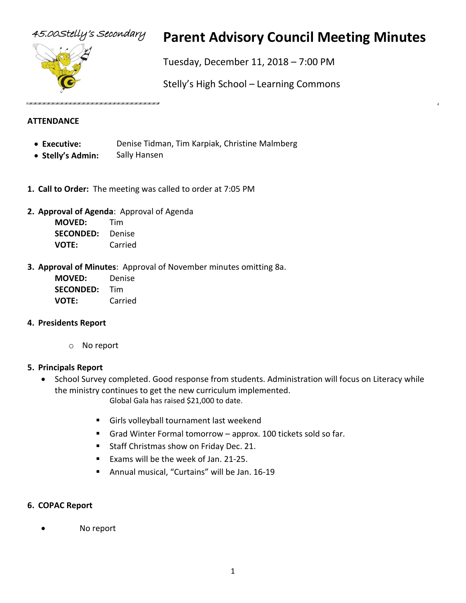

# 45.00Stelly's Secondary **Parent Advisory Council Meeting Minutes**

Tuesday, December 11, 2018 – 7:00 PM

Stelly's High School – Learning Commons

#### **ATTENDANCE**

- **Executive:** Denise Tidman, Tim Karpiak, Christine Malmberg
- **Stelly's Admin:** Sally Hansen
- **1. Call to Order:** The meeting was called to order at 7:05 PM
- **2. Approval of Agenda**: Approval of Agenda

**MOVED:** Tim **SECONDED:** Denise **VOTE:** Carried

**3. Approval of Minutes**: Approval of November minutes omitting 8a.

**MOVED:** Denise **SECONDED:** Tim **VOTE:** Carried

#### **4. Presidents Report**

o No report

#### **5. Principals Report**

• School Survey completed. Good response from students. Administration will focus on Literacy while the ministry continues to get the new curriculum implemented.

Global Gala has raised \$21,000 to date.

- Girls volleyball tournament last weekend
- Grad Winter Formal tomorrow approx. 100 tickets sold so far.
- Staff Christmas show on Friday Dec. 21.
- Exams will be the week of Jan. 21-25.
- Annual musical, "Curtains" will be Jan. 16-19

#### **6. COPAC Report**

No report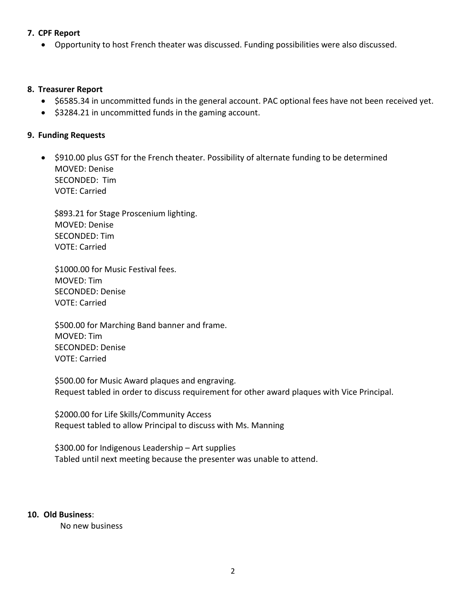#### **7. CPF Report**

• Opportunity to host French theater was discussed. Funding possibilities were also discussed.

#### **8. Treasurer Report**

- \$6585.34 in uncommitted funds in the general account. PAC optional fees have not been received yet.
- \$3284.21 in uncommitted funds in the gaming account.

#### **9. Funding Requests**

• \$910.00 plus GST for the French theater. Possibility of alternate funding to be determined MOVED: Denise SECONDED: Tim VOTE: Carried

 \$893.21 for Stage Proscenium lighting. MOVED: Denise SECONDED: Tim VOTE: Carried

\$1000.00 for Music Festival fees. MOVED: Tim SECONDED: Denise VOTE: Carried

\$500.00 for Marching Band banner and frame. MOVED: Tim SECONDED: Denise VOTE: Carried

\$500.00 for Music Award plaques and engraving. Request tabled in order to discuss requirement for other award plaques with Vice Principal.

\$2000.00 for Life Skills/Community Access Request tabled to allow Principal to discuss with Ms. Manning

\$300.00 for Indigenous Leadership – Art supplies Tabled until next meeting because the presenter was unable to attend.

#### **10. Old Business**:

No new business